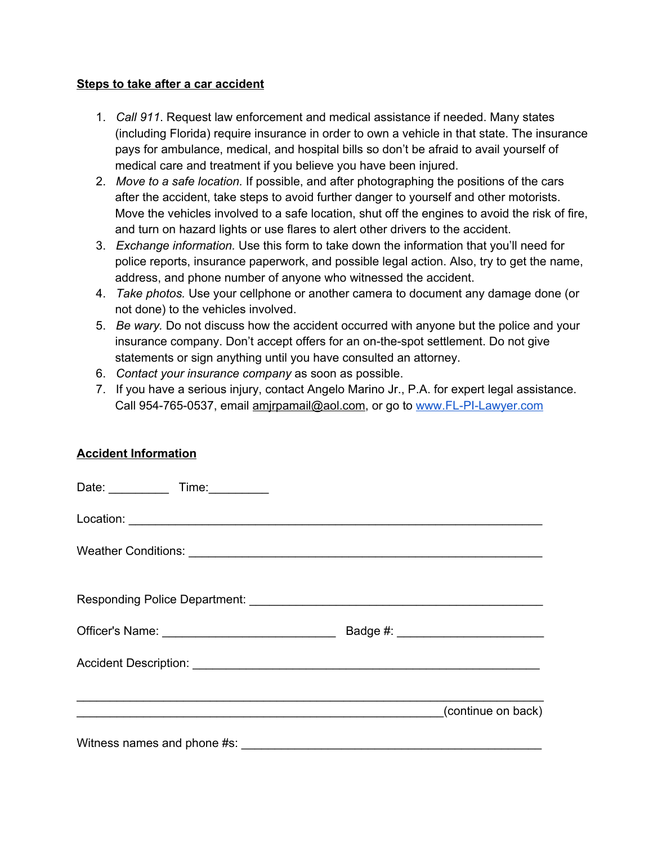## **Steps to take after a car accident**

- 1. *Call 911*. Request law enforcement and medical assistance if needed. Many states (including Florida) require insurance in order to own a vehicle in that state. The insurance pays for ambulance, medical, and hospital bills so don't be afraid to avail yourself of medical care and treatment if you believe you have been injured.
- 2. *Move to a safe location.* If possible, and after photographing the positions of the cars after the accident, take steps to avoid further danger to yourself and other motorists. Move the vehicles involved to a safe location, shut off the engines to avoid the risk of fire, and turn on hazard lights or use flares to alert other drivers to the accident.
- 3. *Exchange information.* Use this form to take down the information that you'll need for police reports, insurance paperwork, and possible legal action. Also, try to get the name, address, and phone number of anyone who witnessed the accident.
- 4. *Take photos.* Use your cellphone or another camera to document any damage done (or not done) to the vehicles involved.
- 5. *Be wary.* Do not discuss how the accident occurred with anyone but the police and your insurance company. Don't accept offers for an on-the-spot settlement. Do not give statements or sign anything until you have consulted an attorney.
- 6. *Contact your insurance company* as soon as possible.
- 7. If you have a serious injury, contact Angelo Marino Jr., P.A. for expert legal assistance. Call 954-765-0537, email amjrpamail@aol.com, or go to www.FL-PI-Lawyer.com

## **Accident Information**

| Date: _____________ Time: __________ |  |
|--------------------------------------|--|
|                                      |  |
|                                      |  |
|                                      |  |
|                                      |  |
|                                      |  |
| (continue on back)                   |  |
|                                      |  |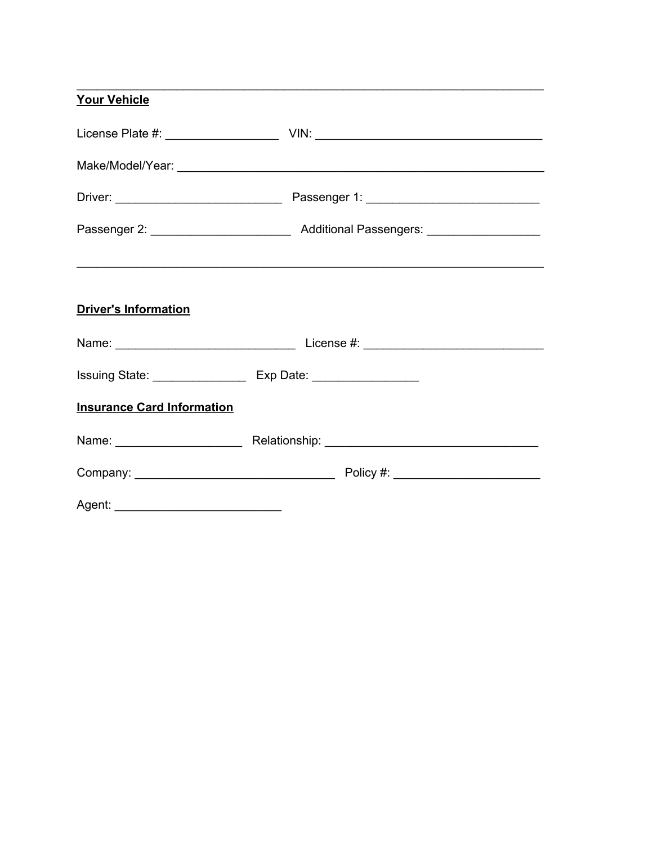| <b>Your Vehicle</b>                                                                                                                                                                                                                  |                                                                                                                                                                                                                               |
|--------------------------------------------------------------------------------------------------------------------------------------------------------------------------------------------------------------------------------------|-------------------------------------------------------------------------------------------------------------------------------------------------------------------------------------------------------------------------------|
|                                                                                                                                                                                                                                      |                                                                                                                                                                                                                               |
|                                                                                                                                                                                                                                      |                                                                                                                                                                                                                               |
|                                                                                                                                                                                                                                      |                                                                                                                                                                                                                               |
|                                                                                                                                                                                                                                      |                                                                                                                                                                                                                               |
|                                                                                                                                                                                                                                      |                                                                                                                                                                                                                               |
| <b>Driver's Information</b>                                                                                                                                                                                                          |                                                                                                                                                                                                                               |
|                                                                                                                                                                                                                                      |                                                                                                                                                                                                                               |
|                                                                                                                                                                                                                                      |                                                                                                                                                                                                                               |
| <b>Insurance Card Information</b>                                                                                                                                                                                                    |                                                                                                                                                                                                                               |
|                                                                                                                                                                                                                                      | Name: Name: Name: Name: Name: Name: Name: Name: Name: Name: Name: Name: Name: Name: Name: Name: Name: Name: Name: Name: Name: Name: Name: Name: Name: Name: Name: Name: Name: Name: Name: Name: Name: Name: Name: Name: Name: |
|                                                                                                                                                                                                                                      |                                                                                                                                                                                                                               |
| Agent: <u>2000 magazine and the set of the set of the set of the set of the set of the set of the set of the set of the set of the set of the set of the set of the set of the set of the set of the set of the set of the set o</u> |                                                                                                                                                                                                                               |